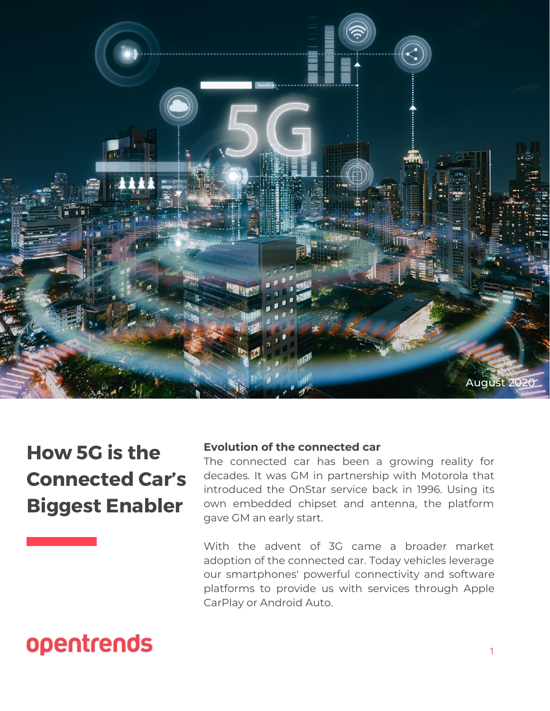

## **How 5G is the Connected Car's Biggest Enabler**

### **Evolution of the connected car**

The connected car has been a growing reality for decades. It was GM in partnership with Motorola that introduced the OnStar service back in 1996. Using its own embedded chipset and antenna, the platform gave GM an early start.

With the advent of 3G came a broader market adoption of the connected car. Today vehicles leverage our smartphones' powerful connectivity and software platforms to provide us with services through Apple CarPlay or Android Auto.

# opentrends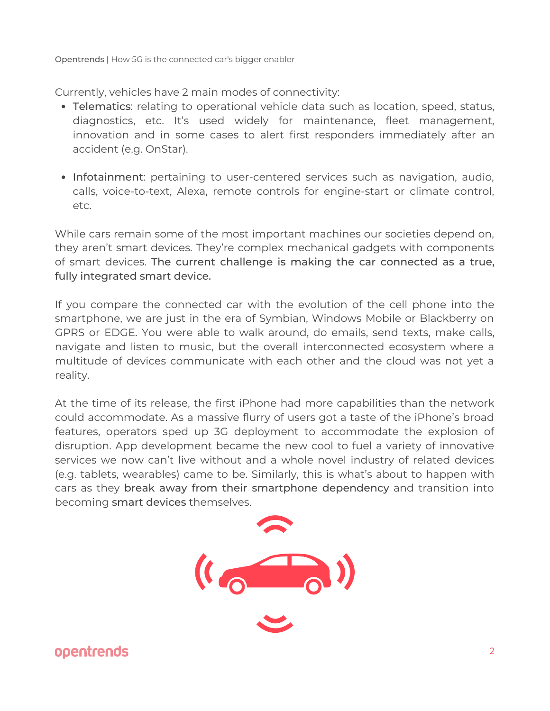Currently, vehicles have 2 main modes of connectivity:

- Telematics: relating to operational vehicle data such as location, speed, status, diagnostics, etc. It's used widely for maintenance, fleet management, innovation and in some cases to alert first responders immediately after an accident (e.g. OnStar).
- Infotainment: pertaining to user-centered services such as navigation, audio, calls, voice-to-text, Alexa, remote controls for engine-start or climate control, etc.

While cars remain some of the most important machines our societies depend on, they aren't smart devices. They're complex mechanical gadgets with components of smart devices. The current challenge is making the car connected as a true, fully integrated smart device.

If you compare the connected car with the evolution of the cell phone into the smartphone, we are just in the era of Symbian, Windows Mobile or Blackberry on GPRS or EDGE. You were able to walk around, do emails, send texts, make calls, navigate and listen to music, but the overall interconnected ecosystem where a multitude of devices communicate with each other and the cloud was not yet a reality.

At the time of its release, the first iPhone had more capabilities than the network could accommodate. As a massive flurry of users got a taste of the iPhone's broad features, operators sped up 3G deployment to accommodate the explosion of disruption. App development became the new cool to fuel a variety of innovative services we now can't live without and a whole novel industry of related devices (e.g. tablets, wearables) came to be. Similarly, this is what's about to happen with cars as they break away from their smartphone dependency and transition into becoming smart devices themselves.

![](_page_1_Picture_7.jpeg)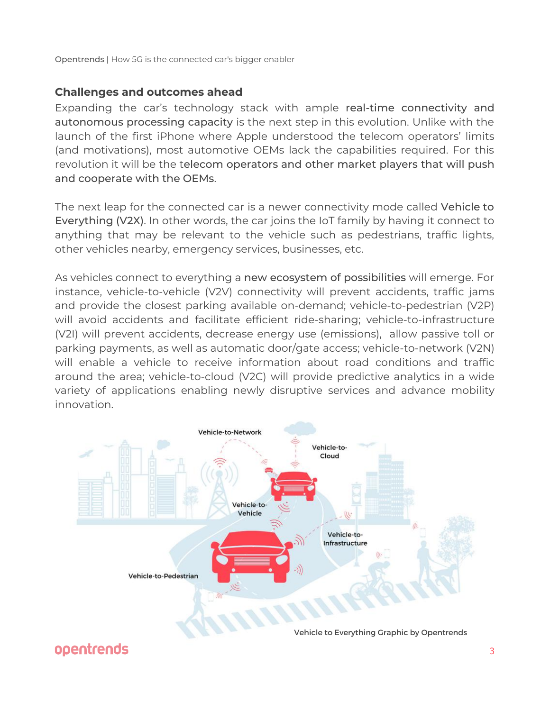## **Challenges and outcomes ahead**

Expanding the car's technology stack with ample real-time connectivity and autonomous processing capacity is the next step in this evolution. Unlike with the launch of the first iPhone where Apple understood the telecom operators' limits (and motivations), most automotive OEMs lack the capabilities required. For this revolution it will be the telecom operators and other market players that will push and cooperate with the OEMs.

The next leap for the connected car is a newer connectivity mode called Vehicle to Everything (V2X). In other words, the car joins the IoT family by having it connect to anything that may be relevant to the vehicle such as pedestrians, traffic lights, other vehicles nearby, emergency services, businesses, etc.

As vehicles connect to everything a new ecosystem of possibilities will emerge. For instance, vehicle-to-vehicle (V2V) connectivity will prevent accidents, traffic jams and provide the closest parking available on-demand; vehicle-to-pedestrian (V2P) will avoid accidents and facilitate efficient ride-sharing; vehicle-to-infrastructure (V2I) will prevent accidents, decrease energy use (emissions), allow passive toll or parking payments, as well as automatic door/gate access; vehicle-to-network (V2N) will enable a vehicle to receive information about road conditions and traffic around the area; vehicle-to-cloud (V2C) will provide predictive analytics in a wide variety of applications enabling newly disruptive services and advance mobility innovation.

![](_page_2_Picture_5.jpeg)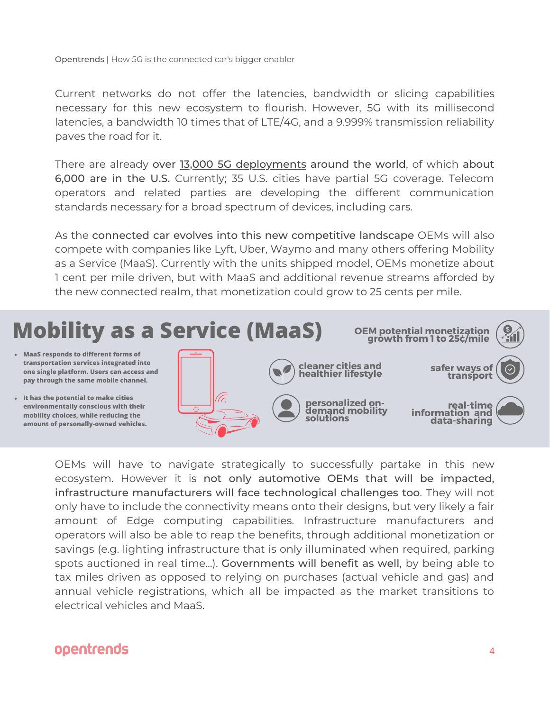Current networks do not offer the latencies, bandwidth or slicing capabilities necessary for this new ecosystem to flourish. However, 5G with its millisecond latencies, a bandwidth 10 times that of LTE/4G, and a 9.999% transmission reliability paves the road for it.

There are already over 13,000 5G [deployments](https://www.speedtest.net/ookla-5g-map) around the world, of which about 6,000 are in the U.S. Currently; 35 U.S. cities have partial 5G coverage. Telecom operators and related parties are developing the different communication standards necessary for a broad spectrum of devices, including cars.

As the connected car evolves into this new competitive landscape OEMs will also compete with companies like Lyft, Uber, Waymo and many others offering Mobility as a Service (MaaS). Currently with the units shipped model, OEMs monetize about 1 cent per mile driven, but with MaaS and additional revenue streams afforded by the new connected realm, that monetization could grow to 25 cents per mile.

![](_page_3_Picture_4.jpeg)

OEMs will have to navigate [strategically](https://www.speedtest.net/ookla-5g-map) to successfully partake in this new ecosystem. However it is not only automotive OEMs that will be impacted, infrastructure [manufacturers](https://www.speedtest.net/ookla-5g-map) will face technological challenges too. They will not only have to include the connectivity means onto their designs, but very likely a fair amount of Edge computing capabilities. Infrastructure manufacturers and operators will also be able to reap the benefits, through additional monetization or savings (e.g. lighting infrastructure that is only illuminated when required, parking spots auctioned in real time…). [Governments](https://www.speedtest.net/ookla-5g-map) will benefit as well, by being able to tax miles driven as opposed to relying on purchases (actual vehicle and gas) and annual vehicle registrations, which all be impacted as the market transitions to electrical vehicles and MaaS.

## opentrends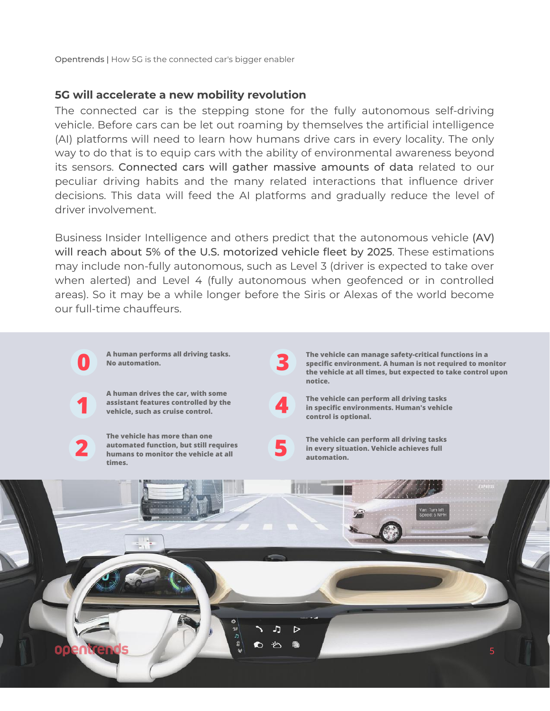#### **5G will accelerate a new mobility revolution**

The connected car is the stepping stone for the fully autonomous self-driving vehicle. Before cars can be let out roaming by themselves the artificial intelligence (AI) platforms will need to learn how humans drive cars in every locality. The only way to do that is to equip cars with the ability of environmental awareness beyond its sensors. Connected cars will gather massive amounts of data related to our peculiar driving habits and the many related interactions that influence driver decisions. This data will feed the AI platforms and gradually reduce the level of driver involvement.

Business Insider Intelligence and others predict that the autonomous vehicle (AV) will reach about 5% of the U.S. motorized vehicle fleet by 2025. These estimations may include non-fully autonomous, such as Level 3 (driver is expected to take over when alerted) and Level 4 (fully autonomous when geofenced or in controlled areas). So it may be a while longer before the Siris or Alexas of the world become our full-time chauffeurs.

![](_page_4_Figure_4.jpeg)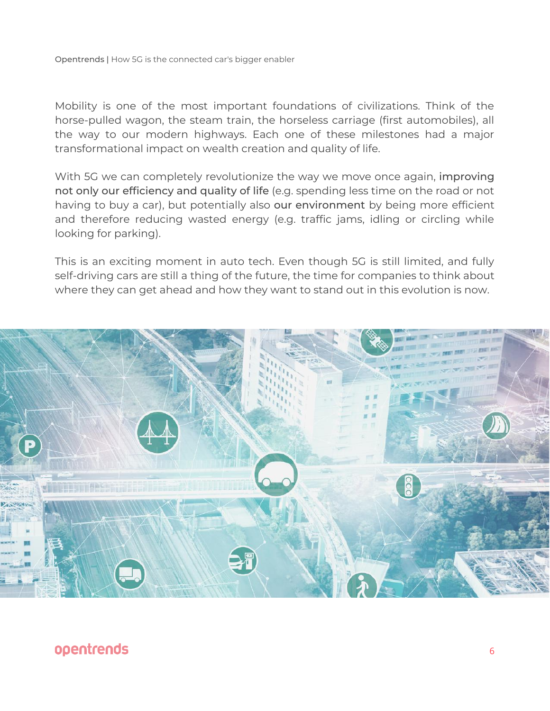Mobility is one of the most important foundations of civilizations. Think of the horse-pulled wagon, the steam train, the horseless carriage (first automobiles), all the way to our modern highways. Each one of these milestones had a major transformational impact on wealth creation and quality of life.

With 5G we can completely revolutionize the way we move once again, improving not only our efficiency and quality of life (e.g. spending less time on the road or not having to buy a car), but potentially also our environment by being more efficient and therefore reducing wasted energy (e.g. traffic jams, idling or circling while looking for parking).

This is an exciting moment in auto tech. Even though 5G is still limited, and fully self-driving cars are still a thing of the future, the time for companies to think about where they can get ahead and how they want to stand out in this evolution is now.

![](_page_5_Picture_4.jpeg)

## opentrends